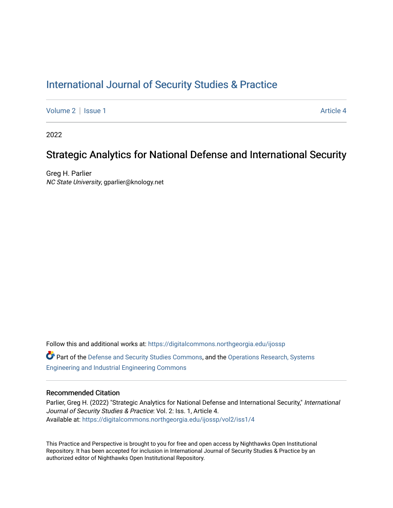# [International Journal of Security Studies & Practice](https://digitalcommons.northgeorgia.edu/ijossp)

[Volume 2](https://digitalcommons.northgeorgia.edu/ijossp/vol2) | [Issue 1](https://digitalcommons.northgeorgia.edu/ijossp/vol2/iss1) Article 4

2022

## Strategic Analytics for National Defense and International Security

Greg H. Parlier NC State University, gparlier@knology.net

Follow this and additional works at: [https://digitalcommons.northgeorgia.edu/ijossp](https://digitalcommons.northgeorgia.edu/ijossp?utm_source=digitalcommons.northgeorgia.edu%2Fijossp%2Fvol2%2Fiss1%2F4&utm_medium=PDF&utm_campaign=PDFCoverPages)  Part of the [Defense and Security Studies Commons](https://network.bepress.com/hgg/discipline/394?utm_source=digitalcommons.northgeorgia.edu%2Fijossp%2Fvol2%2Fiss1%2F4&utm_medium=PDF&utm_campaign=PDFCoverPages), and the [Operations Research, Systems](https://network.bepress.com/hgg/discipline/305?utm_source=digitalcommons.northgeorgia.edu%2Fijossp%2Fvol2%2Fiss1%2F4&utm_medium=PDF&utm_campaign=PDFCoverPages) [Engineering and Industrial Engineering Commons](https://network.bepress.com/hgg/discipline/305?utm_source=digitalcommons.northgeorgia.edu%2Fijossp%2Fvol2%2Fiss1%2F4&utm_medium=PDF&utm_campaign=PDFCoverPages) 

### Recommended Citation

Parlier, Greg H. (2022) "Strategic Analytics for National Defense and International Security," International Journal of Security Studies & Practice: Vol. 2: Iss. 1, Article 4. Available at: [https://digitalcommons.northgeorgia.edu/ijossp/vol2/iss1/4](https://digitalcommons.northgeorgia.edu/ijossp/vol2/iss1/4?utm_source=digitalcommons.northgeorgia.edu%2Fijossp%2Fvol2%2Fiss1%2F4&utm_medium=PDF&utm_campaign=PDFCoverPages) 

This Practice and Perspective is brought to you for free and open access by Nighthawks Open Institutional Repository. It has been accepted for inclusion in International Journal of Security Studies & Practice by an authorized editor of Nighthawks Open Institutional Repository.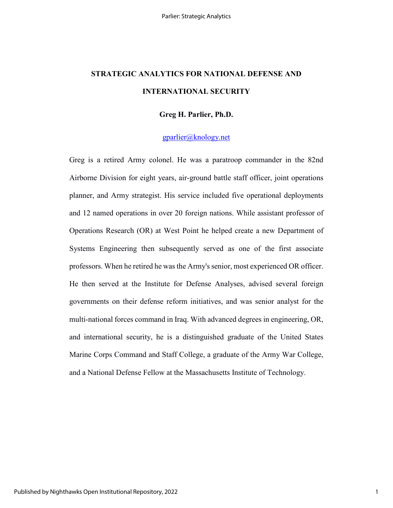# **STRATEGIC ANALYTICS FOR NATIONAL DEFENSE AND INTERNATIONAL SECURITY**

#### **Greg H. Parlier, Ph.D.**

#### [gparlier@knology.net](mailto:gparlier@knology.net)

Greg is a retired Army colonel. He was a paratroop commander in the 82nd Airborne Division for eight years, air-ground battle staff officer, joint operations planner, and Army strategist. His service included five operational deployments and 12 named operations in over 20 foreign nations. While assistant professor of Operations Research (OR) at West Point he helped create a new Department of Systems Engineering then subsequently served as one of the first associate professors. When he retired he was the Army's senior, most experienced OR officer. He then served at the Institute for Defense Analyses, advised several foreign governments on their defense reform initiatives, and was senior analyst for the multi-national forces command in Iraq. With advanced degrees in engineering, OR, and international security, he is a distinguished graduate of the United States Marine Corps Command and Staff College, a graduate of the Army War College, and a National Defense Fellow at the Massachusetts Institute of Technology.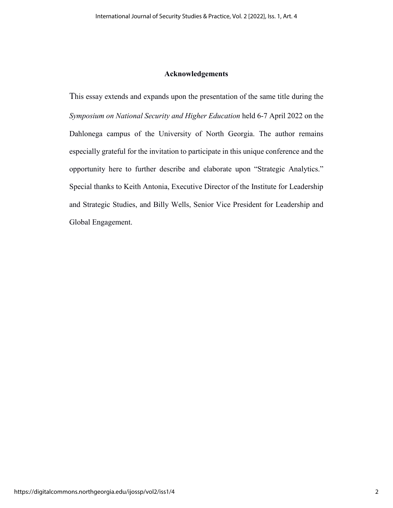### **Acknowledgements**

This essay extends and expands upon the presentation of the same title during the *Symposium on National Security and Higher Education* held 6-7 April 2022 on the Dahlonega campus of the University of North Georgia. The author remains especially grateful for the invitation to participate in this unique conference and the opportunity here to further describe and elaborate upon "Strategic Analytics." Special thanks to Keith Antonia, Executive Director of the Institute for Leadership and Strategic Studies, and Billy Wells, Senior Vice President for Leadership and Global Engagement.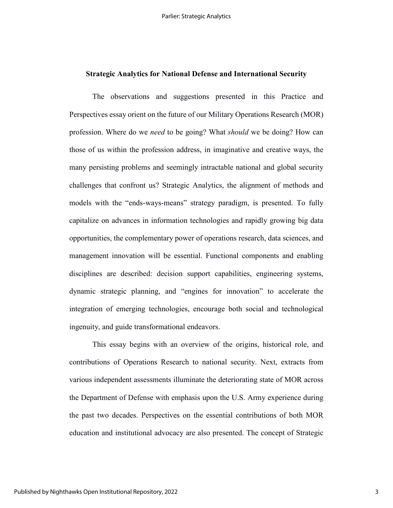#### **Strategic Analytics for National Defense and International Security**

The observations and suggestions presented in this Practice and Perspectives essay orient on the future of our Military Operations Research (MOR) profession. Where do we *need* to be going? What *should* we be doing? How can those of us within the profession address, in imaginative and creative ways, the many persisting problems and seemingly intractable national and global security challenges that confront us? Strategic Analytics, the alignment of methods and models with the "ends-ways-means" strategy paradigm, is presented. To fully capitalize on advances in information technologies and rapidly growing big data opportunities, the complementary power of operations research, data sciences, and management innovation will be essential. Functional components and enabling disciplines are described: decision support capabilities, engineering systems, dynamic strategic planning, and "engines for innovation" to accelerate the integration of emerging technologies, encourage both social and technological ingenuity, and guide transformational endeavors.

This essay begins with an overview of the origins, historical role, and contributions of Operations Research to national security. Next, extracts from various independent assessments illuminate the deteriorating state of MOR across the Department of Defense with emphasis upon the U.S. Army experience during the past two decades. Perspectives on the essential contributions of both MOR education and institutional advocacy are also presented. The concept of Strategic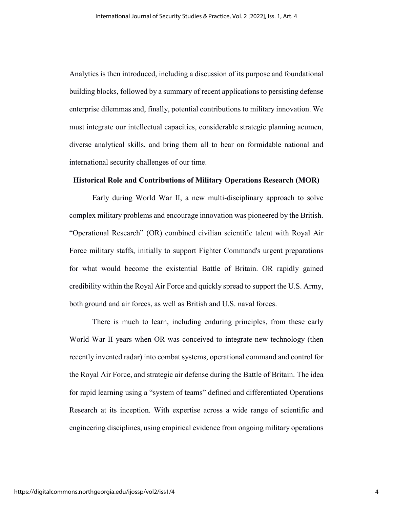Analytics is then introduced, including a discussion of its purpose and foundational building blocks, followed by a summary of recent applications to persisting defense enterprise dilemmas and, finally, potential contributions to military innovation. We must integrate our intellectual capacities, considerable strategic planning acumen, diverse analytical skills, and bring them all to bear on formidable national and international security challenges of our time.

### **Historical Role and Contributions of Military Operations Research (MOR)**

Early during World War II, a new multi-disciplinary approach to solve complex military problems and encourage innovation was pioneered by the British. "Operational Research" (OR) combined civilian scientific talent with Royal Air Force military staffs, initially to support Fighter Command's urgent preparations for what would become the existential Battle of Britain. OR rapidly gained credibility within the Royal Air Force and quickly spread to support the U.S. Army, both ground and air forces, as well as British and U.S. naval forces.

There is much to learn, including enduring principles, from these early World War II years when OR was conceived to integrate new technology (then recently invented radar) into combat systems, operational command and control for the Royal Air Force, and strategic air defense during the Battle of Britain. The idea for rapid learning using a "system of teams" defined and differentiated Operations Research at its inception. With expertise across a wide range of scientific and engineering disciplines, using empirical evidence from ongoing military operations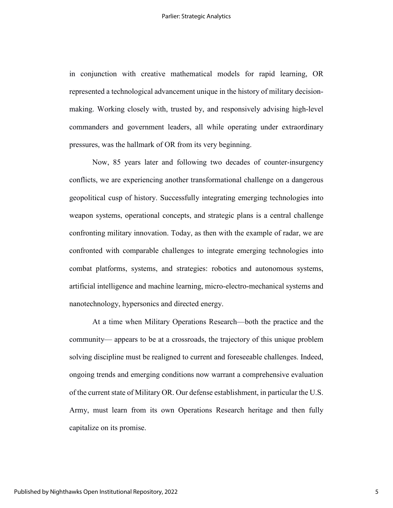in conjunction with creative mathematical models for rapid learning, OR represented a technological advancement unique in the history of military decisionmaking. Working closely with, trusted by, and responsively advising high-level commanders and government leaders, all while operating under extraordinary pressures, was the hallmark of OR from its very beginning.

Now, 85 years later and following two decades of counter-insurgency conflicts, we are experiencing another transformational challenge on a dangerous geopolitical cusp of history. Successfully integrating emerging technologies into weapon systems, operational concepts, and strategic plans is a central challenge confronting military innovation. Today, as then with the example of radar, we are confronted with comparable challenges to integrate emerging technologies into combat platforms, systems, and strategies: robotics and autonomous systems, artificial intelligence and machine learning, micro-electro-mechanical systems and nanotechnology, hypersonics and directed energy.

At a time when Military Operations Research—both the practice and the community— appears to be at a crossroads, the trajectory of this unique problem solving discipline must be realigned to current and foreseeable challenges. Indeed, ongoing trends and emerging conditions now warrant a comprehensive evaluation of the current state of Military OR. Our defense establishment, in particular the U.S. Army, must learn from its own Operations Research heritage and then fully capitalize on its promise.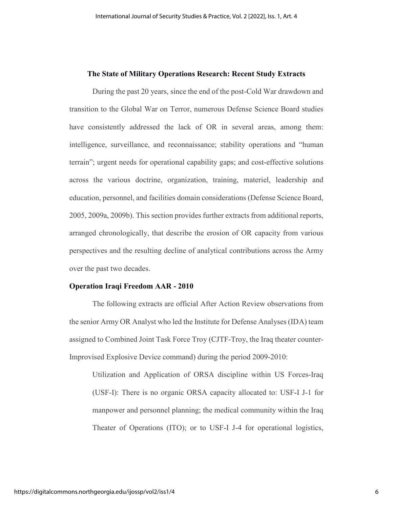#### **The State of Military Operations Research: Recent Study Extracts**

 During the past 20 years, since the end of the post-Cold War drawdown and transition to the Global War on Terror, numerous Defense Science Board studies have consistently addressed the lack of OR in several areas, among them: intelligence, surveillance, and reconnaissance; stability operations and "human terrain"; urgent needs for operational capability gaps; and cost-effective solutions across the various doctrine, organization, training, materiel, leadership and education, personnel, and facilities domain considerations (Defense Science Board, 2005, 2009a, 2009b). This section provides further extracts from additional reports, arranged chronologically, that describe the erosion of OR capacity from various perspectives and the resulting decline of analytical contributions across the Army over the past two decades.

#### **Operation Iraqi Freedom AAR - 2010**

 The following extracts are official After Action Review observations from the senior Army OR Analyst who led the Institute for Defense Analyses (IDA) team assigned to Combined Joint Task Force Troy (CJTF-Troy, the Iraq theater counter-Improvised Explosive Device command) during the period 2009-2010:

Utilization and Application of ORSA discipline within US Forces-Iraq (USF-I): There is no organic ORSA capacity allocated to: USF-I J-1 for manpower and personnel planning; the medical community within the Iraq Theater of Operations (ITO); or to USF-I J-4 for operational logistics,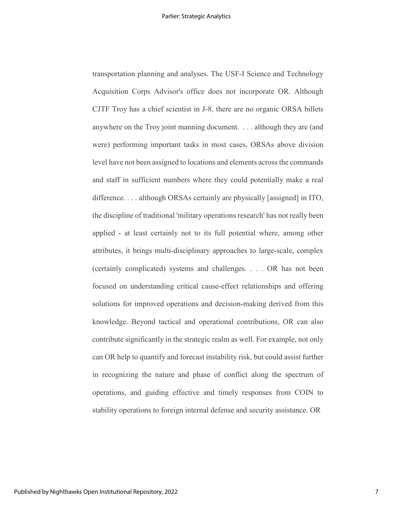transportation planning and analyses. The USF-I Science and Technology Acquisition Corps Advisor's office does not incorporate OR. Although CJTF Troy has a chief scientist in J-8, there are no organic ORSA billets anywhere on the Troy joint manning document. . . . although they are (and were) performing important tasks in most cases, ORSAs above division level have not been assigned to locations and elements across the commands and staff in sufficient numbers where they could potentially make a real difference. . . . although ORSAs certainly are physically [assigned] in ITO, the discipline of traditional 'military operations research' has not really been applied - at least certainly not to its full potential where, among other attributes, it brings multi-disciplinary approaches to large-scale, complex (certainly complicated) systems and challenges. . . . OR has not been focused on understanding critical cause-effect relationships and offering solutions for improved operations and decision-making derived from this knowledge. Beyond tactical and operational contributions, OR can also contribute significantly in the strategic realm as well. For example, not only can OR help to quantify and forecast instability risk, but could assist further in recognizing the nature and phase of conflict along the spectrum of operations, and guiding effective and timely responses from COIN to stability operations to foreign internal defense and security assistance. OR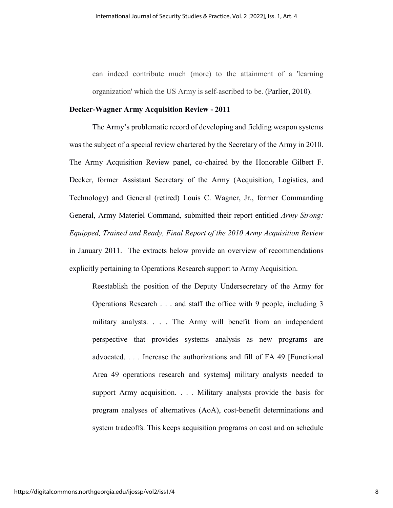can indeed contribute much (more) to the attainment of a 'learning organization' which the US Army is self-ascribed to be. (Parlier, 2010).

#### **Decker-Wagner Army Acquisition Review - 2011**

 The Army's problematic record of developing and fielding weapon systems was the subject of a special review chartered by the Secretary of the Army in 2010. The Army Acquisition Review panel, co-chaired by the Honorable Gilbert F. Decker, former Assistant Secretary of the Army (Acquisition, Logistics, and Technology) and General (retired) Louis C. Wagner, Jr., former Commanding General, Army Materiel Command, submitted their report entitled *Army Strong: Equipped, Trained and Ready, Final Report of the 2010 Army Acquisition Review* in January 2011. The extracts below provide an overview of recommendations explicitly pertaining to Operations Research support to Army Acquisition.

Reestablish the position of the Deputy Undersecretary of the Army for Operations Research . . . and staff the office with 9 people, including 3 military analysts. . . . The Army will benefit from an independent perspective that provides systems analysis as new programs are advocated. . . . Increase the authorizations and fill of FA 49 [Functional Area 49 operations research and systems] military analysts needed to support Army acquisition. . . . Military analysts provide the basis for program analyses of alternatives (AoA), cost-benefit determinations and system tradeoffs. This keeps acquisition programs on cost and on schedule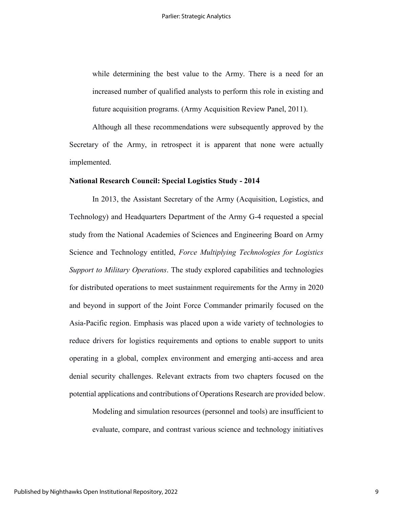while determining the best value to the Army. There is a need for an increased number of qualified analysts to perform this role in existing and future acquisition programs. (Army Acquisition Review Panel, 2011).

 Although all these recommendations were subsequently approved by the Secretary of the Army, in retrospect it is apparent that none were actually implemented.

#### **National Research Council: Special Logistics Study - 2014**

 In 2013, the Assistant Secretary of the Army (Acquisition, Logistics, and Technology) and Headquarters Department of the Army G-4 requested a special study from the National Academies of Sciences and Engineering Board on Army Science and Technology entitled, *Force Multiplying Technologies for Logistics Support to Military Operations*. The study explored capabilities and technologies for distributed operations to meet sustainment requirements for the Army in 2020 and beyond in support of the Joint Force Commander primarily focused on the Asia-Pacific region. Emphasis was placed upon a wide variety of technologies to reduce drivers for logistics requirements and options to enable support to units operating in a global, complex environment and emerging anti-access and area denial security challenges. Relevant extracts from two chapters focused on the potential applications and contributions of Operations Research are provided below.

Modeling and simulation resources (personnel and tools) are insufficient to evaluate, compare, and contrast various science and technology initiatives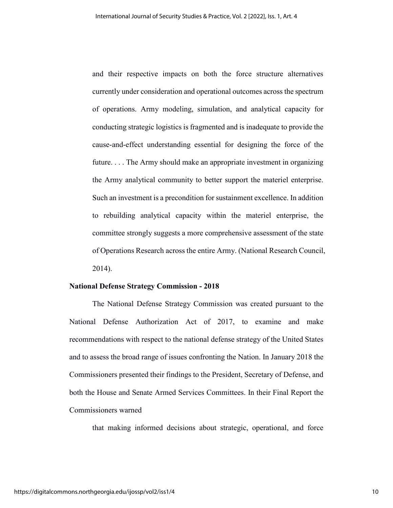and their respective impacts on both the force structure alternatives currently under consideration and operational outcomes across the spectrum of operations. Army modeling, simulation, and analytical capacity for conducting strategic logistics is fragmented and is inadequate to provide the cause-and-effect understanding essential for designing the force of the future. . . . The Army should make an appropriate investment in organizing the Army analytical community to better support the materiel enterprise. Such an investment is a precondition for sustainment excellence. In addition to rebuilding analytical capacity within the materiel enterprise, the committee strongly suggests a more comprehensive assessment of the state of Operations Research across the entire Army. (National Research Council, 2014).

#### **National Defense Strategy Commission - 2018**

 The National Defense Strategy Commission was created pursuant to the National Defense Authorization Act of 2017, to examine and make recommendations with respect to the national defense strategy of the United States and to assess the broad range of issues confronting the Nation. In January 2018 the Commissioners presented their findings to the President, Secretary of Defense, and both the House and Senate Armed Services Committees. In their Final Report the Commissioners warned

that making informed decisions about strategic, operational, and force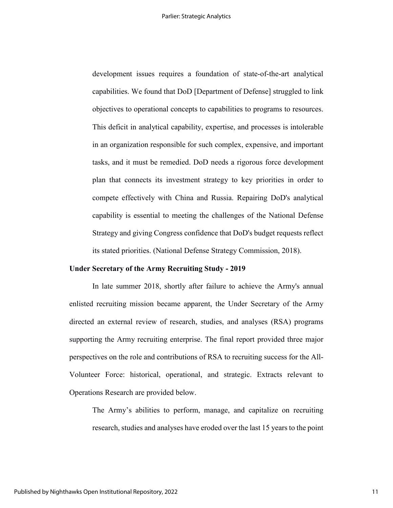development issues requires a foundation of state-of-the-art analytical capabilities. We found that DoD [Department of Defense] struggled to link objectives to operational concepts to capabilities to programs to resources. This deficit in analytical capability, expertise, and processes is intolerable in an organization responsible for such complex, expensive, and important tasks, and it must be remedied. DoD needs a rigorous force development plan that connects its investment strategy to key priorities in order to compete effectively with China and Russia. Repairing DoD's analytical capability is essential to meeting the challenges of the National Defense Strategy and giving Congress confidence that DoD's budget requests reflect its stated priorities. (National Defense Strategy Commission, 2018).

#### **Under Secretary of the Army Recruiting Study - 2019**

 In late summer 2018, shortly after failure to achieve the Army's annual enlisted recruiting mission became apparent, the Under Secretary of the Army directed an external review of research, studies, and analyses (RSA) programs supporting the Army recruiting enterprise. The final report provided three major perspectives on the role and contributions of RSA to recruiting success for the All-Volunteer Force: historical, operational, and strategic. Extracts relevant to Operations Research are provided below.

The Army's abilities to perform, manage, and capitalize on recruiting research, studies and analyses have eroded over the last 15 years to the point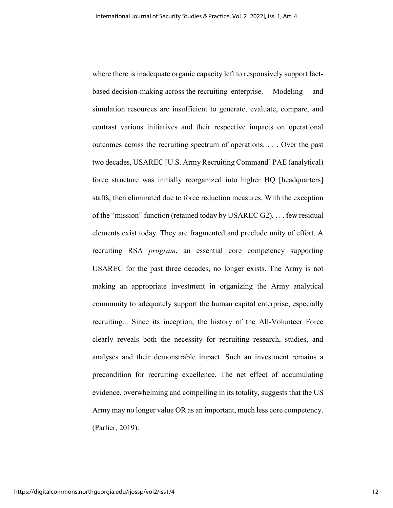where there is inadequate organic capacity left to responsively support factbased decision-making across the recruiting enterprise. Modeling and simulation resources are insufficient to generate, evaluate, compare, and contrast various initiatives and their respective impacts on operational outcomes across the recruiting spectrum of operations. . . . Over the past two decades, USAREC [U.S. Army Recruiting Command] PAE (analytical) force structure was initially reorganized into higher HQ [headquarters] staffs, then eliminated due to force reduction measures. With the exception of the "mission" function (retained today by USAREC G2), . . . few residual elements exist today. They are fragmented and preclude unity of effort. A recruiting RSA *program*, an essential core competency supporting USAREC for the past three decades, no longer exists. The Army is not making an appropriate investment in organizing the Army analytical community to adequately support the human capital enterprise, especially recruiting... Since its inception, the history of the All-Volunteer Force clearly reveals both the necessity for recruiting research, studies, and analyses and their demonstrable impact. Such an investment remains a precondition for recruiting excellence. The net effect of accumulating evidence, overwhelming and compelling in its totality, suggests that the US Army may no longer value OR as an important, much less core competency. (Parlier, 2019).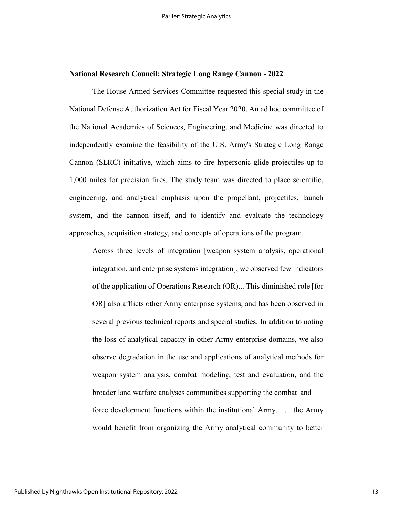### **National Research Council: Strategic Long Range Cannon - 2022**

The House Armed Services Committee requested this special study in the National Defense Authorization Act for Fiscal Year 2020. An ad hoc committee of the National Academies of Sciences, Engineering, and Medicine was directed to independently examine the feasibility of the U.S. Army's Strategic Long Range Cannon (SLRC) initiative, which aims to fire hypersonic-glide projectiles up to 1,000 miles for precision fires. The study team was directed to place scientific, engineering, and analytical emphasis upon the propellant, projectiles, launch system, and the cannon itself, and to identify and evaluate the technology approaches, acquisition strategy, and concepts of operations of the program.

Across three levels of integration [weapon system analysis, operational integration, and enterprise systems integration], we observed few indicators of the application of Operations Research (OR)... This diminished role [for OR] also afflicts other Army enterprise systems, and has been observed in several previous technical reports and special studies. In addition to noting the loss of analytical capacity in other Army enterprise domains, we also observe degradation in the use and applications of analytical methods for weapon system analysis, combat modeling, test and evaluation, and the broader land warfare analyses communities supporting the combat and force development functions within the institutional Army. . . . the Army would benefit from organizing the Army analytical community to better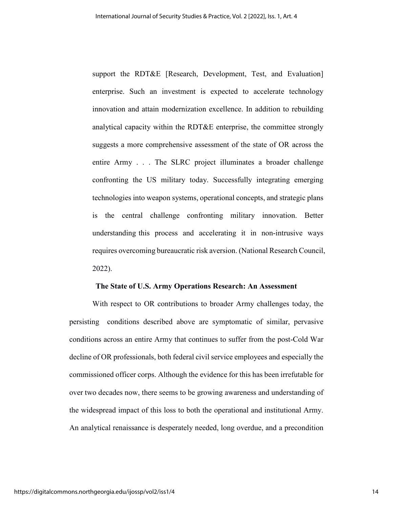support the RDT&E [Research, Development, Test, and Evaluation] enterprise. Such an investment is expected to accelerate technology innovation and attain modernization excellence. In addition to rebuilding analytical capacity within the RDT&E enterprise, the committee strongly suggests a more comprehensive assessment of the state of OR across the entire Army . . . The SLRC project illuminates a broader challenge confronting the US military today. Successfully integrating emerging technologies into weapon systems, operational concepts, and strategic plans is the central challenge confronting military innovation. Better understanding this process and accelerating it in non-intrusive ways requires overcoming bureaucratic risk aversion. (National Research Council, 2022).

#### **The State of U.S. Army Operations Research: An Assessment**

 With respect to OR contributions to broader Army challenges today, the persisting conditions described above are symptomatic of similar, pervasive conditions across an entire Army that continues to suffer from the post-Cold War decline of OR professionals, both federal civil service employees and especially the commissioned officer corps. Although the evidence for this has been irrefutable for over two decades now, there seems to be growing awareness and understanding of the widespread impact of this loss to both the operational and institutional Army. An analytical renaissance is desperately needed, long overdue, and a precondition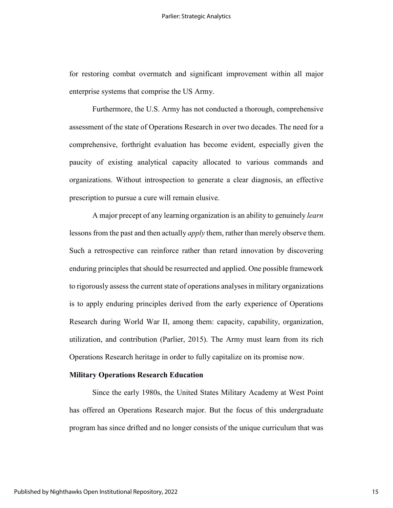for restoring combat overmatch and significant improvement within all major enterprise systems that comprise the US Army.

 Furthermore, the U.S. Army has not conducted a thorough, comprehensive assessment of the state of Operations Research in over two decades. The need for a comprehensive, forthright evaluation has become evident, especially given the paucity of existing analytical capacity allocated to various commands and organizations. Without introspection to generate a clear diagnosis, an effective prescription to pursue a cure will remain elusive.

 A major precept of any learning organization is an ability to genuinely *learn* lessons from the past and then actually *apply* them, rather than merely observe them. Such a retrospective can reinforce rather than retard innovation by discovering enduring principles that should be resurrected and applied. One possible framework to rigorously assess the current state of operations analyses in military organizations is to apply enduring principles derived from the early experience of Operations Research during World War II, among them: capacity, capability, organization, utilization, and contribution (Parlier, 2015). The Army must learn from its rich Operations Research heritage in order to fully capitalize on its promise now.

### **Military Operations Research Education**

 Since the early 1980s, the United States Military Academy at West Point has offered an Operations Research major. But the focus of this undergraduate program has since drifted and no longer consists of the unique curriculum that was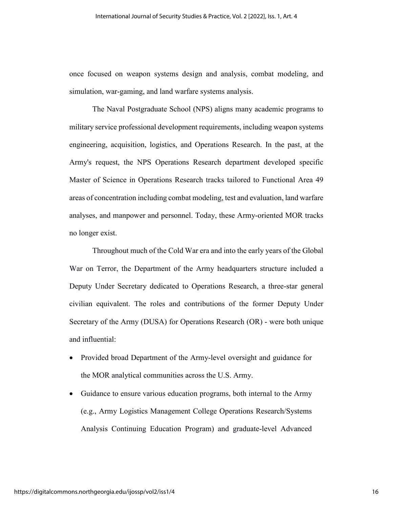once focused on weapon systems design and analysis, combat modeling, and simulation, war-gaming, and land warfare systems analysis.

 The Naval Postgraduate School (NPS) aligns many academic programs to military service professional development requirements, including weapon systems engineering, acquisition, logistics, and Operations Research. In the past, at the Army's request, the NPS Operations Research department developed specific Master of Science in Operations Research tracks tailored to Functional Area 49 areas of concentration including combat modeling, test and evaluation, land warfare analyses, and manpower and personnel. Today, these Army-oriented MOR tracks no longer exist.

Throughout much of the Cold War era and into the early years of the Global War on Terror, the Department of the Army headquarters structure included a Deputy Under Secretary dedicated to Operations Research, a three-star general civilian equivalent. The roles and contributions of the former Deputy Under Secretary of the Army (DUSA) for Operations Research (OR) - were both unique and influential:

- Provided broad Department of the Army-level oversight and guidance for the MOR analytical communities across the U.S. Army.
- Guidance to ensure various education programs, both internal to the Army (e.g., Army Logistics Management College Operations Research/Systems Analysis Continuing Education Program) and graduate-level Advanced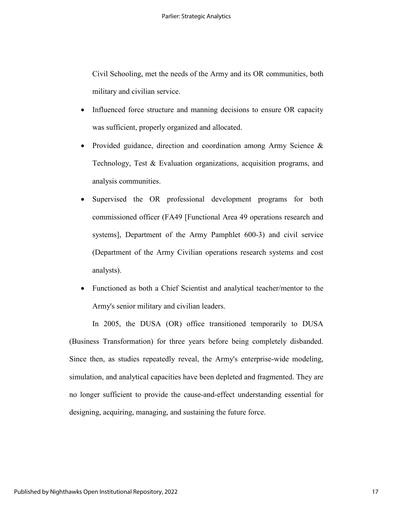Civil Schooling, met the needs of the Army and its OR communities, both military and civilian service.

- Influenced force structure and manning decisions to ensure OR capacity was sufficient, properly organized and allocated.
- Provided guidance, direction and coordination among Army Science & Technology, Test & Evaluation organizations, acquisition programs, and analysis communities.
- Supervised the OR professional development programs for both commissioned officer (FA49 [Functional Area 49 operations research and systems], Department of the Army Pamphlet 600-3) and civil service (Department of the Army Civilian operations research systems and cost analysts).
- Functioned as both a Chief Scientist and analytical teacher/mentor to the Army's senior military and civilian leaders.

In 2005, the DUSA (OR) office transitioned temporarily to DUSA (Business Transformation) for three years before being completely disbanded. Since then, as studies repeatedly reveal, the Army's enterprise-wide modeling, simulation, and analytical capacities have been depleted and fragmented. They are no longer sufficient to provide the cause-and-effect understanding essential for designing, acquiring, managing, and sustaining the future force.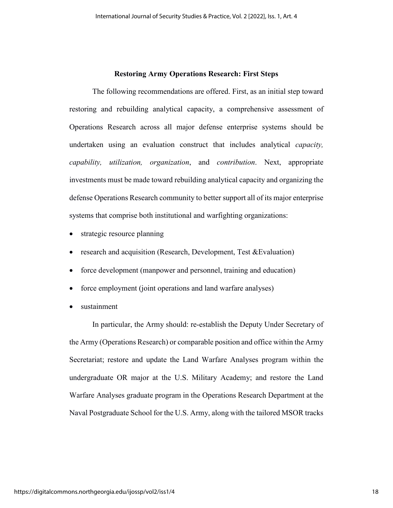#### **Restoring Army Operations Research: First Steps**

 The following recommendations are offered. First, as an initial step toward restoring and rebuilding analytical capacity, a comprehensive assessment of Operations Research across all major defense enterprise systems should be undertaken using an evaluation construct that includes analytical *capacity, capability, utilization, organization*, and *contribution*. Next, appropriate investments must be made toward rebuilding analytical capacity and organizing the defense Operations Research community to better support all of its major enterprise systems that comprise both institutional and warfighting organizations:

- strategic resource planning
- research and acquisition (Research, Development, Test &Evaluation)
- force development (manpower and personnel, training and education)
- force employment (joint operations and land warfare analyses)
- sustainment

 In particular, the Army should: re-establish the Deputy Under Secretary of the Army (Operations Research) or comparable position and office within the Army Secretariat; restore and update the Land Warfare Analyses program within the undergraduate OR major at the U.S. Military Academy; and restore the Land Warfare Analyses graduate program in the Operations Research Department at the Naval Postgraduate School for the U.S. Army, along with the tailored MSOR tracks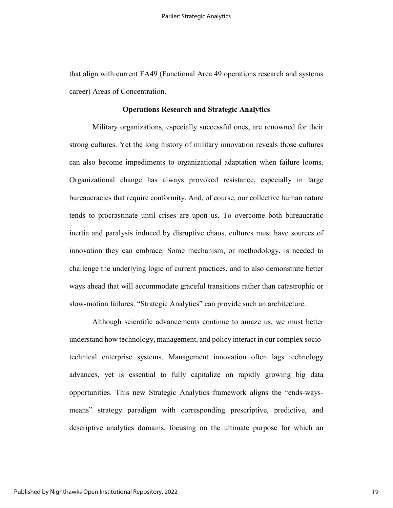that align with current FA49 (Functional Area 49 operations research and systems career) Areas of Concentration.

#### **Operations Research and Strategic Analytics**

Military organizations, especially successful ones, are renowned for their strong cultures. Yet the long history of military innovation reveals those cultures can also become impediments to organizational adaptation when failure looms. Organizational change has always provoked resistance, especially in large bureaucracies that require conformity. And, of course, our collective human nature tends to procrastinate until crises are upon us. To overcome both bureaucratic inertia and paralysis induced by disruptive chaos, cultures must have sources of innovation they can embrace. Some mechanism, or methodology, is needed to challenge the underlying logic of current practices, and to also demonstrate better ways ahead that will accommodate graceful transitions rather than catastrophic or slow-motion failures. "Strategic Analytics" can provide such an architecture.

Although scientific advancements continue to amaze us, we must better understand how technology, management, and policy interact in our complex sociotechnical enterprise systems. Management innovation often lags technology advances, yet is essential to fully capitalize on rapidly growing big data opportunities. This new Strategic Analytics framework aligns the "ends-waysmeans" strategy paradigm with corresponding prescriptive, predictive, and descriptive analytics domains, focusing on the ultimate purpose for which an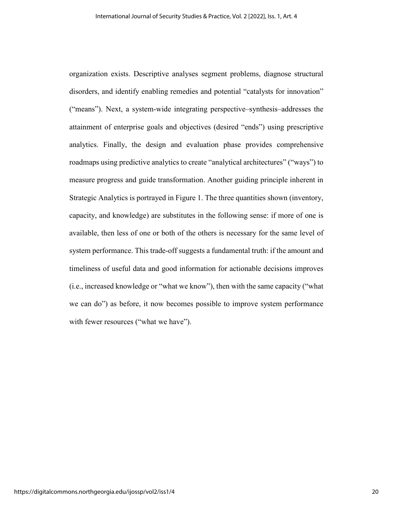organization exists. Descriptive analyses segment problems, diagnose structural disorders, and identify enabling remedies and potential "catalysts for innovation" ("means"). Next, a system-wide integrating perspective–synthesis–addresses the attainment of enterprise goals and objectives (desired "ends") using prescriptive analytics. Finally, the design and evaluation phase provides comprehensive roadmaps using predictive analytics to create "analytical architectures" ("ways") to measure progress and guide transformation. Another guiding principle inherent in Strategic Analytics is portrayed in Figure 1. The three quantities shown (inventory, capacity, and knowledge) are substitutes in the following sense: if more of one is available, then less of one or both of the others is necessary for the same level of system performance. This trade-off suggests a fundamental truth: if the amount and timeliness of useful data and good information for actionable decisions improves (i.e., increased knowledge or "what we know"), then with the same capacity ("what we can do") as before, it now becomes possible to improve system performance with fewer resources ("what we have").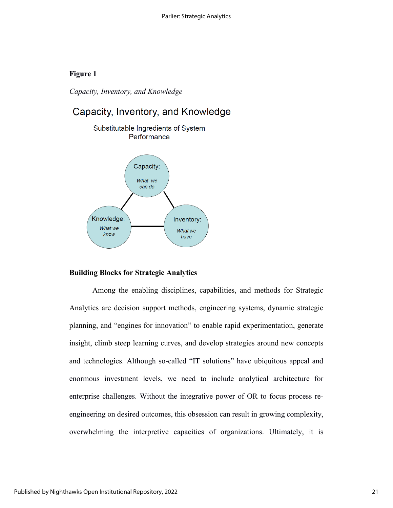## **Figure 1**

*Capacity, Inventory, and Knowledge* 

## Capacity, Inventory, and Knowledge

Substitutable Ingredients of System Performance



#### **Building Blocks for Strategic Analytics**

Among the enabling disciplines, capabilities, and methods for Strategic Analytics are decision support methods, engineering systems, dynamic strategic planning, and "engines for innovation" to enable rapid experimentation, generate insight, climb steep learning curves, and develop strategies around new concepts and technologies. Although so-called "IT solutions" have ubiquitous appeal and enormous investment levels, we need to include analytical architecture for enterprise challenges. Without the integrative power of OR to focus process reengineering on desired outcomes, this obsession can result in growing complexity, overwhelming the interpretive capacities of organizations. Ultimately, it is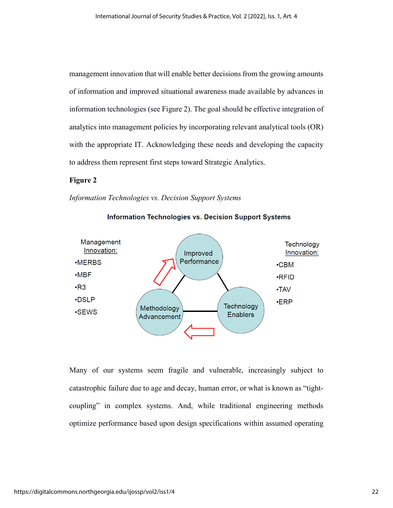management innovation that will enable better decisions from the growing amounts of information and improved situational awareness made available by advances in information technologies (see Figure 2). The goal should be effective integration of analytics into management policies by incorporating relevant analytical tools (OR) with the appropriate IT. Acknowledging these needs and developing the capacity to address them represent first steps toward Strategic Analytics.

### **Figure 2**

*Information Technologies vs. Decision Support Systems* 



**Information Technologies vs. Decision Support Systems** 

Many of our systems seem fragile and vulnerable, increasingly subject to catastrophic failure due to age and decay, human error, or what is known as "tightcoupling" in complex systems. And, while traditional engineering methods optimize performance based upon design specifications within assumed operating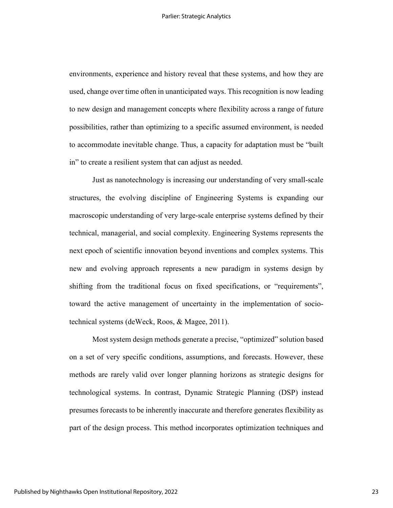environments, experience and history reveal that these systems, and how they are used, change over time often in unanticipated ways. This recognition is now leading to new design and management concepts where flexibility across a range of future possibilities, rather than optimizing to a specific assumed environment, is needed to accommodate inevitable change. Thus, a capacity for adaptation must be "built in" to create a resilient system that can adjust as needed.

Just as nanotechnology is increasing our understanding of very small-scale structures, the evolving discipline of Engineering Systems is expanding our macroscopic understanding of very large-scale enterprise systems defined by their technical, managerial, and social complexity. Engineering Systems represents the next epoch of scientific innovation beyond inventions and complex systems. This new and evolving approach represents a new paradigm in systems design by shifting from the traditional focus on fixed specifications, or "requirements", toward the active management of uncertainty in the implementation of sociotechnical systems (deWeck, Roos, & Magee, 2011).

Most system design methods generate a precise, "optimized" solution based on a set of very specific conditions, assumptions, and forecasts. However, these methods are rarely valid over longer planning horizons as strategic designs for technological systems. In contrast, Dynamic Strategic Planning (DSP) instead presumes forecasts to be inherently inaccurate and therefore generates flexibility as part of the design process. This method incorporates optimization techniques and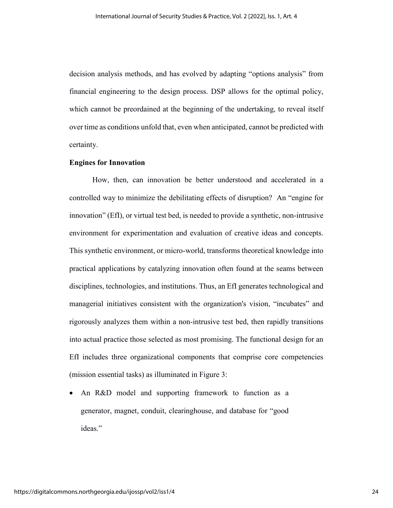decision analysis methods, and has evolved by adapting "options analysis" from financial engineering to the design process. DSP allows for the optimal policy, which cannot be preordained at the beginning of the undertaking, to reveal itself over time as conditions unfold that, even when anticipated, cannot be predicted with certainty.

#### **Engines for Innovation**

How, then, can innovation be better understood and accelerated in a controlled way to minimize the debilitating effects of disruption? An "engine for innovation" (EfI), or virtual test bed, is needed to provide a synthetic, non-intrusive environment for experimentation and evaluation of creative ideas and concepts. This synthetic environment, or micro-world, transforms theoretical knowledge into practical applications by catalyzing innovation often found at the seams between disciplines, technologies, and institutions. Thus, an EfI generates technological and managerial initiatives consistent with the organization's vision, "incubates" and rigorously analyzes them within a non-intrusive test bed, then rapidly transitions into actual practice those selected as most promising. The functional design for an EfI includes three organizational components that comprise core competencies (mission essential tasks) as illuminated in Figure 3:

An R&D model and supporting framework to function as a generator, magnet, conduit, clearinghouse, and database for "good ideas."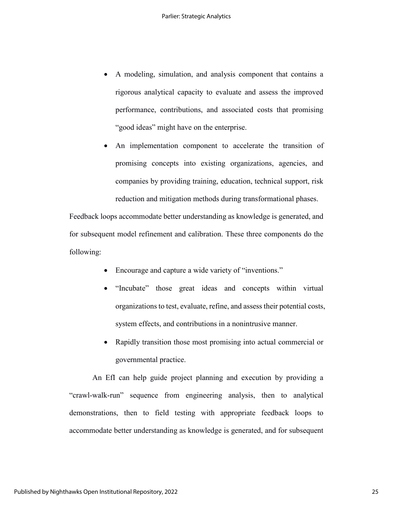- A modeling, simulation, and analysis component that contains a rigorous analytical capacity to evaluate and assess the improved performance, contributions, and associated costs that promising "good ideas" might have on the enterprise.
- An implementation component to accelerate the transition of promising concepts into existing organizations, agencies, and companies by providing training, education, technical support, risk reduction and mitigation methods during transformational phases.

Feedback loops accommodate better understanding as knowledge is generated, and for subsequent model refinement and calibration. These three components do the following:

- Encourage and capture a wide variety of "inventions."
- "Incubate" those great ideas and concepts within virtual organizations to test, evaluate, refine, and assess their potential costs, system effects, and contributions in a nonintrusive manner.
- Rapidly transition those most promising into actual commercial or governmental practice.

An EfI can help guide project planning and execution by providing a "crawl-walk-run" sequence from engineering analysis, then to analytical demonstrations, then to field testing with appropriate feedback loops to accommodate better understanding as knowledge is generated, and for subsequent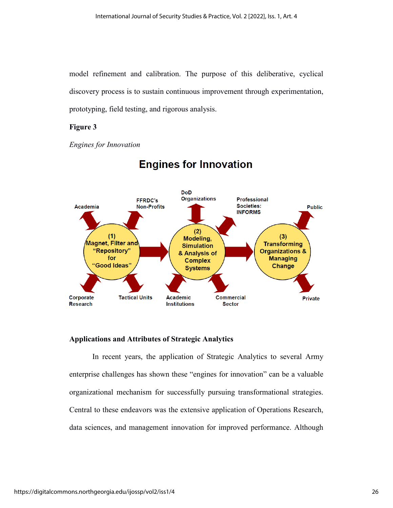model refinement and calibration. The purpose of this deliberative, cyclical discovery process is to sustain continuous improvement through experimentation, prototyping, field testing, and rigorous analysis.

### **Figure 3**





# **Engines for Innovation**

## **Applications and Attributes of Strategic Analytics**

In recent years, the application of Strategic Analytics to several Army enterprise challenges has shown these "engines for innovation" can be a valuable organizational mechanism for successfully pursuing transformational strategies. Central to these endeavors was the extensive application of Operations Research, data sciences, and management innovation for improved performance. Although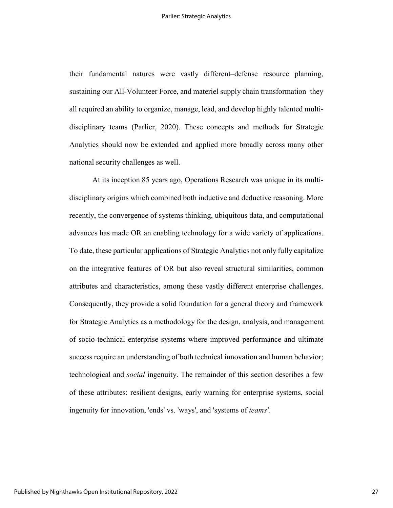their fundamental natures were vastly different–defense resource planning, sustaining our All-Volunteer Force, and materiel supply chain transformation–they all required an ability to organize, manage, lead, and develop highly talented multidisciplinary teams (Parlier, 2020). These concepts and methods for Strategic Analytics should now be extended and applied more broadly across many other national security challenges as well.

 At its inception 85 years ago, Operations Research was unique in its multidisciplinary origins which combined both inductive and deductive reasoning. More recently, the convergence of systems thinking, ubiquitous data, and computational advances has made OR an enabling technology for a wide variety of applications. To date, these particular applications of Strategic Analytics not only fully capitalize on the integrative features of OR but also reveal structural similarities, common attributes and characteristics, among these vastly different enterprise challenges. Consequently, they provide a solid foundation for a general theory and framework for Strategic Analytics as a methodology for the design, analysis, and management of socio-technical enterprise systems where improved performance and ultimate success require an understanding of both technical innovation and human behavior; technological and *social* ingenuity. The remainder of this section describes a few of these attributes: resilient designs, early warning for enterprise systems, social ingenuity for innovation, 'ends' vs. 'ways', and 'systems of *teams'.*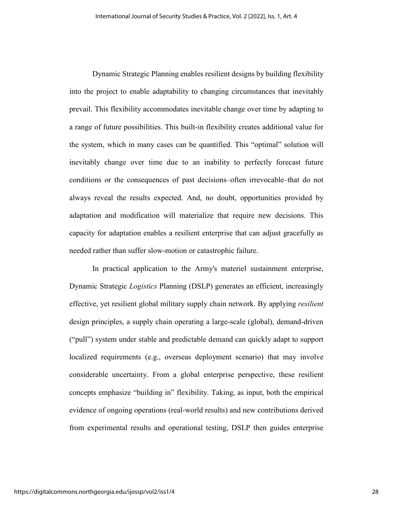Dynamic Strategic Planning enables resilient designs by building flexibility into the project to enable adaptability to changing circumstances that inevitably prevail. This flexibility accommodates inevitable change over time by adapting to a range of future possibilities. This built-in flexibility creates additional value for the system, which in many cases can be quantified. This "optimal" solution will inevitably change over time due to an inability to perfectly forecast future conditions or the consequences of past decisions–often irrevocable–that do not always reveal the results expected. And, no doubt, opportunities provided by adaptation and modification will materialize that require new decisions. This capacity for adaptation enables a resilient enterprise that can adjust gracefully as needed rather than suffer slow-motion or catastrophic failure.

In practical application to the Army's materiel sustainment enterprise, Dynamic Strategic *Logistics* Planning (DSLP) generates an efficient, increasingly effective, yet resilient global military supply chain network. By applying *resilient*  design principles, a supply chain operating a large-scale (global), demand-driven ("pull") system under stable and predictable demand can quickly adapt to support localized requirements (e.g., overseas deployment scenario) that may involve considerable uncertainty. From a global enterprise perspective, these resilient concepts emphasize "building in" flexibility. Taking, as input, both the empirical evidence of ongoing operations (real-world results) and new contributions derived from experimental results and operational testing, DSLP then guides enterprise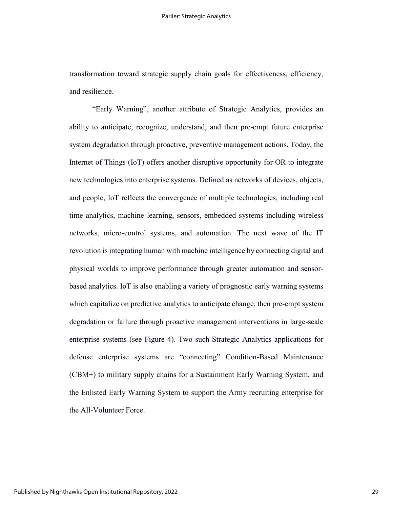transformation toward strategic supply chain goals for effectiveness, efficiency, and resilience.

"Early Warning", another attribute of Strategic Analytics, provides an ability to anticipate, recognize, understand, and then pre-empt future enterprise system degradation through proactive, preventive management actions. Today, the Internet of Things (IoT) offers another disruptive opportunity for OR to integrate new technologies into enterprise systems. Defined as networks of devices, objects, and people, IoT reflects the convergence of multiple technologies, including real time analytics, machine learning, sensors, embedded systems including wireless networks, micro-control systems, and automation. The next wave of the IT revolution is integrating human with machine intelligence by connecting digital and physical worlds to improve performance through greater automation and sensorbased analytics. IoT is also enabling a variety of prognostic early warning systems which capitalize on predictive analytics to anticipate change, then pre-empt system degradation or failure through proactive management interventions in large-scale enterprise systems (see Figure 4). Two such Strategic Analytics applications for defense enterprise systems are "connecting" Condition-Based Maintenance (CBM+) to military supply chains for a Sustainment Early Warning System, and the Enlisted Early Warning System to support the Army recruiting enterprise for the All-Volunteer Force.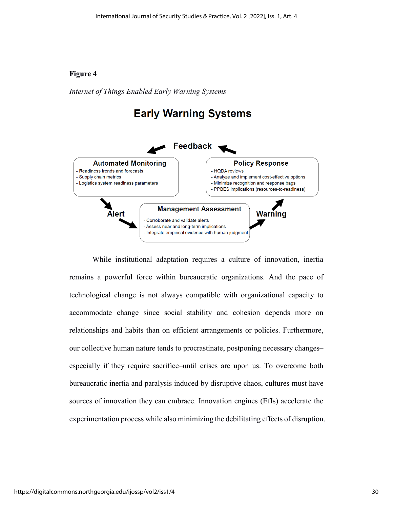## **Figure 4**

*Internet of Things Enabled Early Warning Systems* 

# **Early Warning Systems**



While institutional adaptation requires a culture of innovation, inertia remains a powerful force within bureaucratic organizations. And the pace of technological change is not always compatible with organizational capacity to accommodate change since social stability and cohesion depends more on relationships and habits than on efficient arrangements or policies. Furthermore, our collective human nature tends to procrastinate, postponing necessary changes– especially if they require sacrifice–until crises are upon us. To overcome both bureaucratic inertia and paralysis induced by disruptive chaos, cultures must have sources of innovation they can embrace. Innovation engines (EfIs) accelerate the experimentation process while also minimizing the debilitating effects of disruption.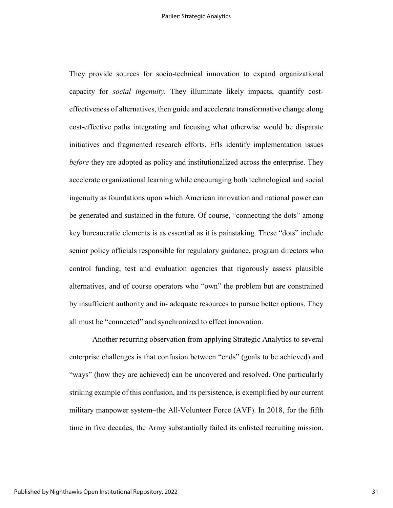They provide sources for socio-technical innovation to expand organizational capacity for *social ingenuity.* They illuminate likely impacts, quantify costeffectiveness of alternatives, then guide and accelerate transformative change along cost-effective paths integrating and focusing what otherwise would be disparate initiatives and fragmented research efforts. EfIs identify implementation issues *before* they are adopted as policy and institutionalized across the enterprise. They accelerate organizational learning while encouraging both technological and social ingenuity as foundations upon which American innovation and national power can be generated and sustained in the future. Of course, "connecting the dots" among key bureaucratic elements is as essential as it is painstaking. These "dots" include senior policy officials responsible for regulatory guidance, program directors who control funding, test and evaluation agencies that rigorously assess plausible alternatives, and of course operators who "own" the problem but are constrained by insufficient authority and in- adequate resources to pursue better options. They all must be "connected" and synchronized to effect innovation.

Another recurring observation from applying Strategic Analytics to several enterprise challenges is that confusion between "ends" (goals to be achieved) and "ways" (how they are achieved) can be uncovered and resolved. One particularly striking example of this confusion, and its persistence, is exemplified by our current military manpower system–the All-Volunteer Force (AVF). In 2018, for the fifth time in five decades, the Army substantially failed its enlisted recruiting mission.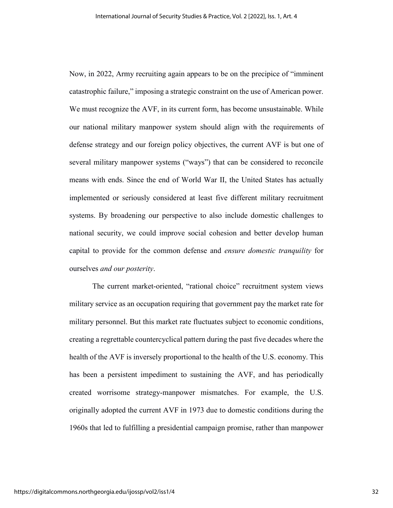Now, in 2022, Army recruiting again appears to be on the precipice of "imminent catastrophic failure," imposing a strategic constraint on the use of American power. We must recognize the AVF, in its current form, has become unsustainable. While our national military manpower system should align with the requirements of defense strategy and our foreign policy objectives, the current AVF is but one of several military manpower systems ("ways") that can be considered to reconcile means with ends. Since the end of World War II, the United States has actually implemented or seriously considered at least five different military recruitment systems. By broadening our perspective to also include domestic challenges to national security, we could improve social cohesion and better develop human capital to provide for the common defense and *ensure domestic tranquility* for ourselves *and our posterity*.

The current market-oriented, "rational choice" recruitment system views military service as an occupation requiring that government pay the market rate for military personnel. But this market rate fluctuates subject to economic conditions, creating a regrettable countercyclical pattern during the past five decades where the health of the AVF is inversely proportional to the health of the U.S. economy. This has been a persistent impediment to sustaining the AVF, and has periodically created worrisome strategy-manpower mismatches. For example, the U.S. originally adopted the current AVF in 1973 due to domestic conditions during the 1960s that led to fulfilling a presidential campaign promise, rather than manpower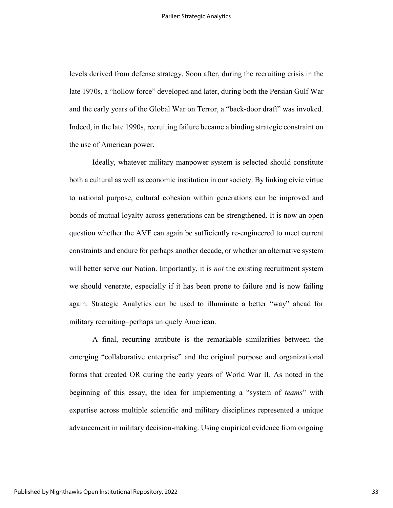levels derived from defense strategy. Soon after, during the recruiting crisis in the late 1970s, a "hollow force" developed and later, during both the Persian Gulf War and the early years of the Global War on Terror, a "back-door draft" was invoked. Indeed, in the late 1990s, recruiting failure became a binding strategic constraint on the use of American power.

Ideally, whatever military manpower system is selected should constitute both a cultural as well as economic institution in our society. By linking civic virtue to national purpose, cultural cohesion within generations can be improved and bonds of mutual loyalty across generations can be strengthened. It is now an open question whether the AVF can again be sufficiently re-engineered to meet current constraints and endure for perhaps another decade, or whether an alternative system will better serve our Nation. Importantly, it is *not* the existing recruitment system we should venerate, especially if it has been prone to failure and is now failing again. Strategic Analytics can be used to illuminate a better "way" ahead for military recruiting–perhaps uniquely American.

A final, recurring attribute is the remarkable similarities between the emerging "collaborative enterprise" and the original purpose and organizational forms that created OR during the early years of World War II. As noted in the beginning of this essay, the idea for implementing a "system of *teams*" with expertise across multiple scientific and military disciplines represented a unique advancement in military decision-making. Using empirical evidence from ongoing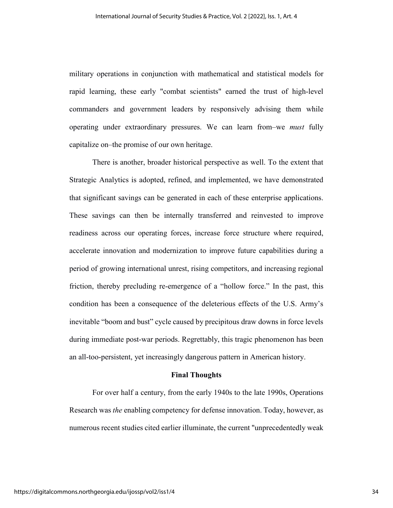military operations in conjunction with mathematical and statistical models for rapid learning, these early "combat scientists" earned the trust of high-level commanders and government leaders by responsively advising them while operating under extraordinary pressures. We can learn from–we *must* fully capitalize on–the promise of our own heritage.

There is another, broader historical perspective as well. To the extent that Strategic Analytics is adopted, refined, and implemented, we have demonstrated that significant savings can be generated in each of these enterprise applications. These savings can then be internally transferred and reinvested to improve readiness across our operating forces, increase force structure where required, accelerate innovation and modernization to improve future capabilities during a period of growing international unrest, rising competitors, and increasing regional friction, thereby precluding re-emergence of a "hollow force." In the past, this condition has been a consequence of the deleterious effects of the U.S. Army's inevitable "boom and bust" cycle caused by precipitous draw downs in force levels during immediate post-war periods. Regrettably, this tragic phenomenon has been an all-too-persistent, yet increasingly dangerous pattern in American history.

#### **Final Thoughts**

 For over half a century, from the early 1940s to the late 1990s, Operations Research was *the* enabling competency for defense innovation. Today, however, as numerous recent studies cited earlier illuminate, the current "unprecedentedly weak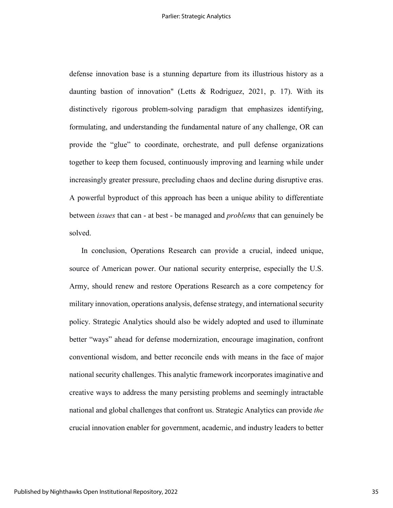defense innovation base is a stunning departure from its illustrious history as a daunting bastion of innovation" (Letts & Rodriguez, 2021, p. 17). With its distinctively rigorous problem-solving paradigm that emphasizes identifying, formulating, and understanding the fundamental nature of any challenge, OR can provide the "glue" to coordinate, orchestrate, and pull defense organizations together to keep them focused, continuously improving and learning while under increasingly greater pressure, precluding chaos and decline during disruptive eras. A powerful byproduct of this approach has been a unique ability to differentiate between *issues* that can - at best - be managed and *problems* that can genuinely be solved.

In conclusion, Operations Research can provide a crucial, indeed unique, source of American power. Our national security enterprise, especially the U.S. Army, should renew and restore Operations Research as a core competency for military innovation, operations analysis, defense strategy, and international security policy. Strategic Analytics should also be widely adopted and used to illuminate better "ways" ahead for defense modernization, encourage imagination, confront conventional wisdom, and better reconcile ends with means in the face of major national security challenges. This analytic framework incorporates imaginative and creative ways to address the many persisting problems and seemingly intractable national and global challenges that confront us. Strategic Analytics can provide *the* crucial innovation enabler for government, academic, and industry leaders to better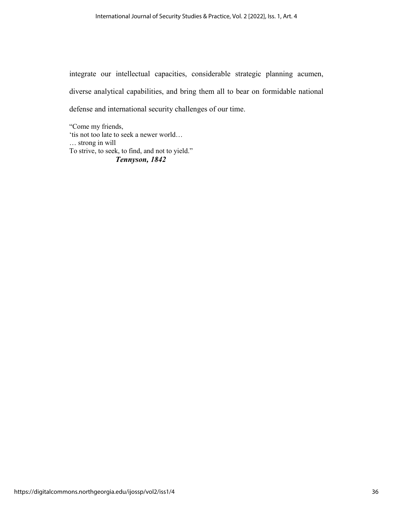integrate our intellectual capacities, considerable strategic planning acumen, diverse analytical capabilities, and bring them all to bear on formidable national defense and international security challenges of our time.

"Come my friends, 'tis not too late to seek a newer world… … strong in will To strive, to seek, to find, and not to yield." *Tennyson, 1842*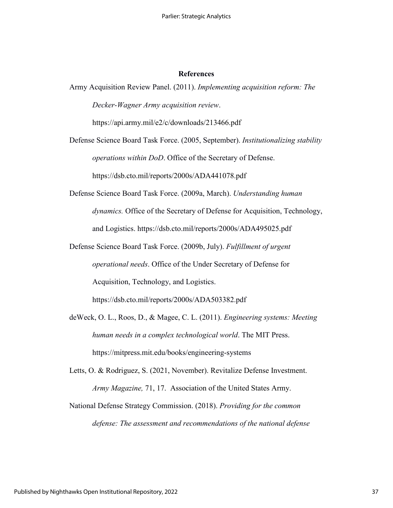#### **References**

Army Acquisition Review Panel. (2011). *Implementing acquisition reform: The Decker-Wagner Army acquisition review*.

<https://api.army.mil/e2/c/downloads/213466.pdf>

Defense Science Board Task Force. (2005, September). *Institutionalizing stability operations within DoD*. Office of the Secretary of Defense. <https://dsb.cto.mil/reports/2000s/ADA441078.pdf>

Defense Science Board Task Force. (2009a, March). *Understanding human dynamics.* Office of the Secretary of Defense for Acquisition, Technology, and Logistics. https://dsb.cto.mil/reports/2000s/ADA495025.pdf

Defense Science Board Task Force. (2009b, July). *Fulfillment of urgent operational needs*. Office of the Under Secretary of Defense for Acquisition, Technology, and Logistics. https://dsb.cto.mil/reports/2000s/ADA503382.pdf

deWeck, O. L., Roos, D., & Magee, C. L. (2011). *Engineering systems: Meeting human needs in a complex technological world*. The MIT Press. https://mitpress.mit.edu/books/engineering-systems

Letts, O. & Rodriguez, S. (2021, November). Revitalize Defense Investment. *Army Magazine,* 71, 17. Association of the United States Army.

National Defense Strategy Commission. (2018). *Providing for the common defense: The assessment and recommendations of the national defense*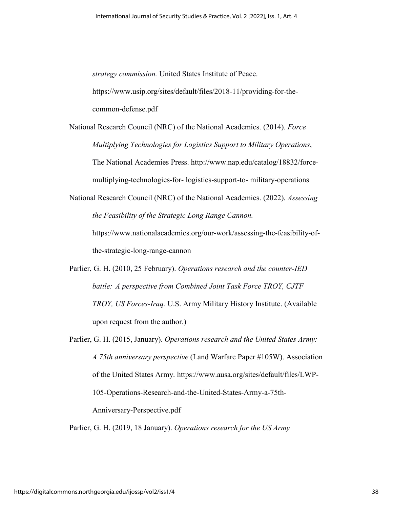*strategy commission.* United States Institute of Peace. [https://www.usip.org/sites/default/files/2018-11/providing-for-the](https://www.usip.org/sites/default/files/2018-)  [common-defense.pdf](https://www.usip.org/sites/default/files/2018-11/providing-for-the-common-defense.pdf)

National Research Council (NRC) of the National Academies. (2014). *Force Multiplying Technologies for Logistics Support to Military Operations*, The National Academies Press. [http://www.nap.edu/catalog/18832/force](http://www.nap.edu/catalog/18832/force-%09multiplying-technologies-for-)[multiplying-technologies-for-](http://www.nap.edu/catalog/18832/force-%09multiplying-technologies-for-) logistics-support-to- military-operations

National Research Council (NRC) of the National Academies. (2022). *Assessing the Feasibility of the Strategic Long Range Cannon.* [https://www.nationalacademies.org/our-work/assessing-the-feasibility-of](https://www.nationalacademies.org/our-)  [the-strategic-long-range-cannon](https://www.nationalacademies.org/our-work/assessing-the-feasibility-of-the-strategic-long-range-cannon)

Parlier, G. H. (2010, 25 February). *Operations research and the counter-IED battle: A perspective from Combined Joint Task Force TROY, CJTF TROY, US Forces-Iraq.* U.S. Army Military History Institute. (Available upon request from the author.)

Parlier, G. H. (2015, January). *Operations research and the United States Army: A 75th anniversary perspective* (Land Warfare Paper #105W). Association of the United States Army.<https://www.ausa.org/sites/default/files/LWP->  [105-Operations-Research-and-the-United-States-Army-a-75th-](https://www.ausa.org/sites/default/files/LWP-105-Operations-Research-and-the-United-States-Army-a-75th-Anniversary-Perspective.pdf)  [Anniversary-Perspective.pdf](https://www.ausa.org/sites/default/files/LWP-105-Operations-Research-and-the-United-States-Army-a-75th-Anniversary-Perspective.pdf)

Parlier, G. H. (2019, 18 January). *Operations research for the US Army*